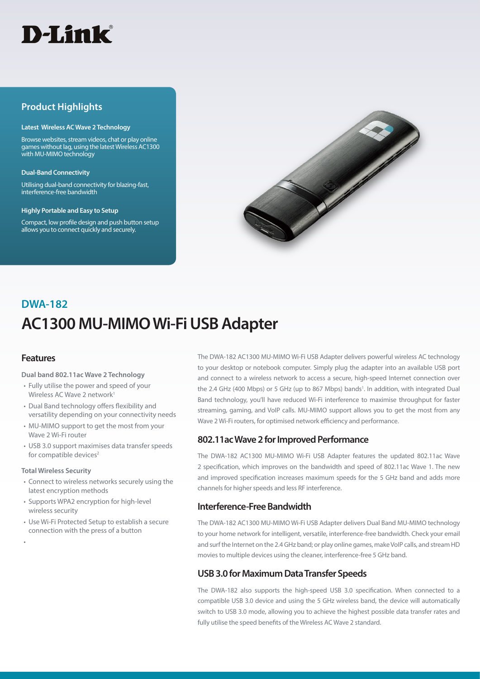

# **Product Highlights**

#### **Latest Wireless AC Wave 2 Technology**

Browse websites, stream videos, chat or play online games without lag, using the latest Wireless AC1300 with MU-MIMO technology

#### **Dual-Band Connectivity**

Utilising dual-band connectivity for blazing-fast, interference-free bandwidth

#### **Highly Portable and Easy to Setup**

Compact, low profile design and push button setup allows you to connect quickly and securely.



# **AC1300 MU-MIMO Wi-Fi USB Adapter DWA-182**

# **Features**

#### **Dual band 802.11ac Wave 2 Technology**

- Fully utilise the power and speed of your Wireless AC Wave 2 network<sup>1</sup>
- Dual Band technology offers flexibility and versatility depending on your connectivity needs
- MU-MIMO support to get the most from your Wave 2 Wi-Fi router
- USB 3.0 support maximises data transfer speeds for compatible devices<sup>2</sup>

#### **Total Wireless Security**

•

- Connect to wireless networks securely using the latest encryption methods
- Supports WPA2 encryption for high-level wireless security
- Use Wi-Fi Protected Setup to establish a secure connection with the press of a button

The DWA-182 AC1300 MU-MIMO Wi-Fi USB Adapter delivers powerful wireless AC technology to your desktop or notebook computer. Simply plug the adapter into an available USB port and connect to a wireless network to access a secure, high-speed Internet connection over the 2.4 GHz (400 Mbps) or 5 GHz (up to 867 Mbps) bands<sup>1</sup>. In addition, with integrated Dual Band technology, you'll have reduced Wi-Fi interference to maximise throughput for faster streaming, gaming, and VoIP calls. MU-MIMO support allows you to get the most from any Wave 2 Wi-Fi routers, for optimised network efficiency and performance.

# **802.11ac Wave 2 for Improved Performance**

The DWA-182 AC1300 MU-MIMO Wi-Fi USB Adapter features the updated 802.11ac Wave 2 specification, which improves on the bandwidth and speed of 802.11ac Wave 1. The new and improved specification increases maximum speeds for the 5 GHz band and adds more channels for higher speeds and less RF interference.

# **Interference-Free Bandwidth**

The DWA-182 AC1300 MU-MIMO Wi-Fi USB Adapter delivers Dual Band MU-MIMO technology to your home network for intelligent, versatile, interference-free bandwidth. Check your email and surf the Internet on the 2.4 GHz band; or play online games, make VoIP calls, and stream HD movies to multiple devices using the cleaner, interference-free 5 GHz band.

# **USB 3.0 for Maximum Data Transfer Speeds**

The DWA-182 also supports the high-speed USB 3.0 specification. When connected to a compatible USB 3.0 device and using the 5 GHz wireless band, the device will automatically switch to USB 3.0 mode, allowing you to achieve the highest possible data transfer rates and fully utilise the speed benefits of the Wireless AC Wave 2 standard.